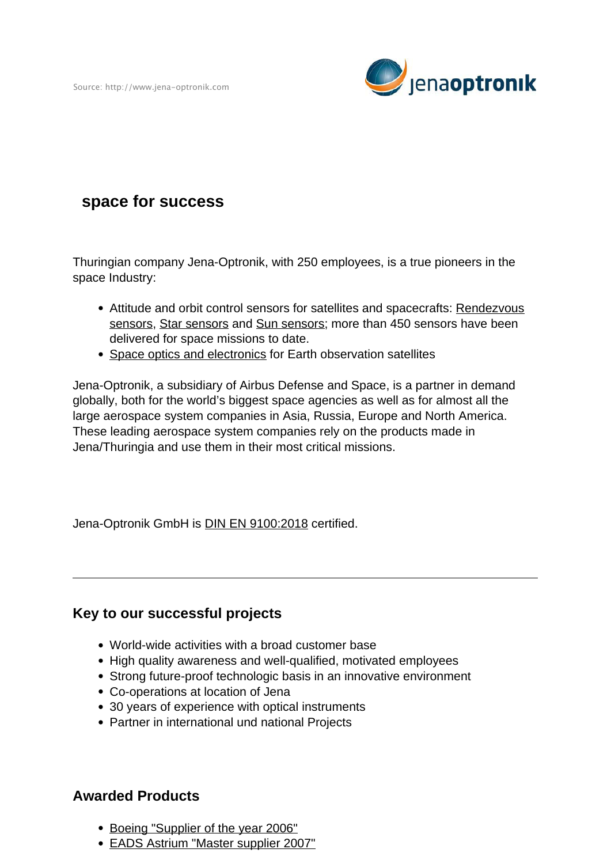Source: http://www.jena-optronik.com



## **space for success**

Thuringian company Jena-Optronik, with 250 employees, is a true pioneers in the space Industry:

- Attitude and orbit control sensors for satellites and spacecrafts: [Rendezvous](https://jena-optronik.de/products/rendezvous-sensors/applications.html) [sensors,](https://jena-optronik.de/products/rendezvous-sensors/applications.html) Star sensors and Sun sensors; more than 450 sensors have been delivered for space missions to date.
- Space optics and electronics for Earth observation satellites

Jena-Optronik, a subsidiary of Airbus Defense and Space, is a partner in demand globally, both for the world's biggest space agencies as well as for almost all the large aerospace system companies in Asia, Russia, Europe and North America. These leading aerospace system companies rely on the products made in Jena/Thuringia and use them in their most critical missions.

Jena-Optronik GmbH is **DIN EN 9100:2018** certified.

## **Key to our successful projects**

- World-wide activities with a broad customer base
- High quality awareness and well-qualified, motivated employees
- Strong future-proof technologic basis in an innovative environment
- Co-operations at location of Jena
- 30 years of experience with optical instruments
- Partner in international und national Projects

## **Awarded Products**

- Boeing "Supplier of the year 2006"
- EADS Astrium "Master supplier 2007"